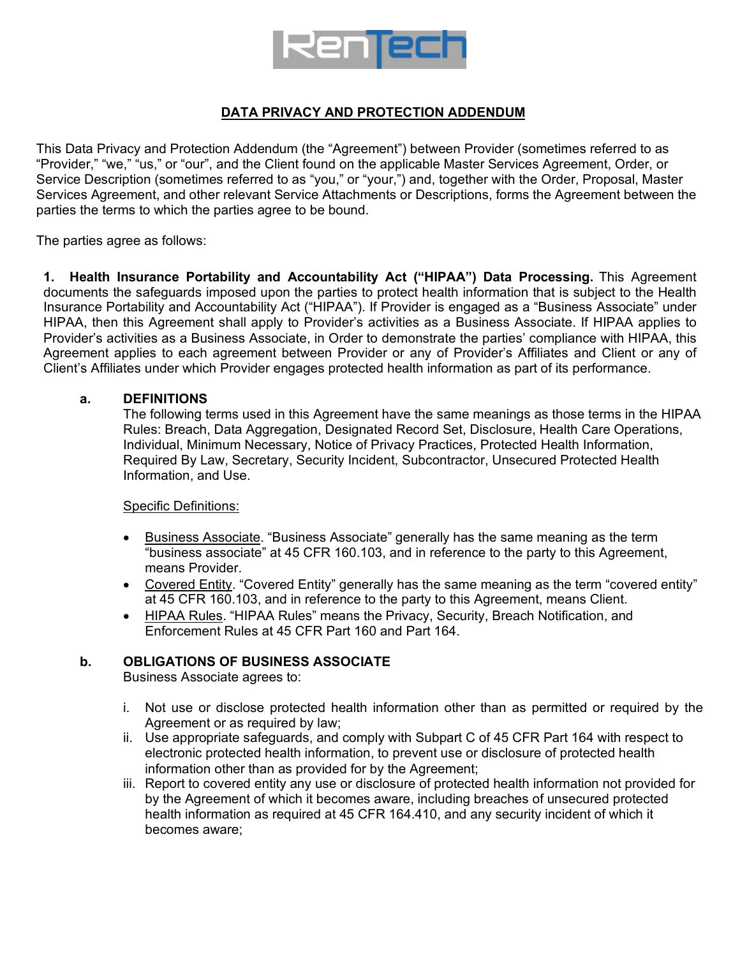

# **DATA PRIVACY AND PROTECTION ADDENDUM**

This Data Privacy and Protection Addendum (the "Agreement") between Provider (sometimes referred to as "Provider," "we," "us," or "our", and the Client found on the applicable Master Services Agreement, Order, or Service Description (sometimes referred to as "you," or "your,") and, together with the Order, Proposal, Master Services Agreement, and other relevant Service Attachments or Descriptions, forms the Agreement between the parties the terms to which the parties agree to be bound.

The parties agree as follows:

**1. Health Insurance Portability and Accountability Act ("HIPAA") Data Processing.** This Agreement documents the safeguards imposed upon the parties to protect health information that is subject to the Health Insurance Portability and Accountability Act ("HIPAA"). If Provider is engaged as a "Business Associate" under HIPAA, then this Agreement shall apply to Provider's activities as a Business Associate. If HIPAA applies to Provider's activities as a Business Associate, in Order to demonstrate the parties' compliance with HIPAA, this Agreement applies to each agreement between Provider or any of Provider's Affiliates and Client or any of Client's Affiliates under which Provider engages protected health information as part of its performance.

### **a. DEFINITIONS**

The following terms used in this Agreement have the same meanings as those terms in the HIPAA Rules: Breach, Data Aggregation, Designated Record Set, Disclosure, Health Care Operations, Individual, Minimum Necessary, Notice of Privacy Practices, Protected Health Information, Required By Law, Secretary, Security Incident, Subcontractor, Unsecured Protected Health Information, and Use.

### Specific Definitions:

- Business Associate. "Business Associate" generally has the same meaning as the term "business associate" at 45 CFR 160.103, and in reference to the party to this Agreement, means Provider.
- Covered Entity. "Covered Entity" generally has the same meaning as the term "covered entity" at 45 CFR 160.103, and in reference to the party to this Agreement, means Client.
- HIPAA Rules. "HIPAA Rules" means the Privacy, Security, Breach Notification, and Enforcement Rules at 45 CFR Part 160 and Part 164.

### **b. OBLIGATIONS OF BUSINESS ASSOCIATE**

Business Associate agrees to:

- i. Not use or disclose protected health information other than as permitted or required by the Agreement or as required by law;
- ii. Use appropriate safeguards, and comply with Subpart C of 45 CFR Part 164 with respect to electronic protected health information, to prevent use or disclosure of protected health information other than as provided for by the Agreement;
- iii. Report to covered entity any use or disclosure of protected health information not provided for by the Agreement of which it becomes aware, including breaches of unsecured protected health information as required at 45 CFR 164.410, and any security incident of which it becomes aware;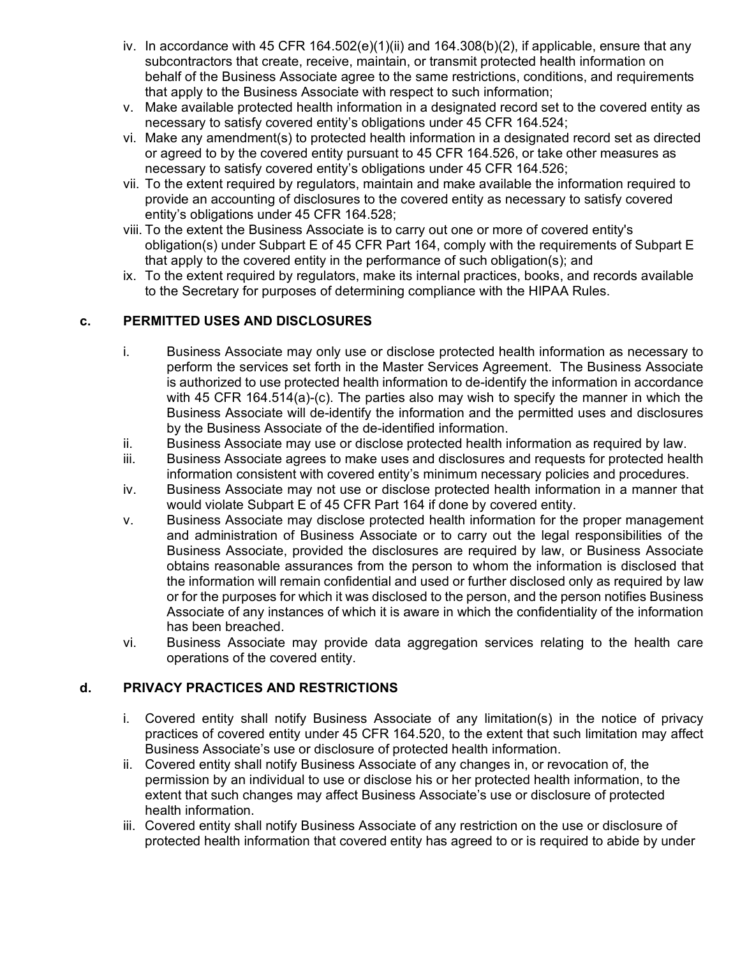- iv. In accordance with 45 CFR 164.502(e)(1)(ii) and 164.308(b)(2), if applicable, ensure that any subcontractors that create, receive, maintain, or transmit protected health information on behalf of the Business Associate agree to the same restrictions, conditions, and requirements that apply to the Business Associate with respect to such information;
- v. Make available protected health information in a designated record set to the covered entity as necessary to satisfy covered entity's obligations under 45 CFR 164.524;
- vi. Make any amendment(s) to protected health information in a designated record set as directed or agreed to by the covered entity pursuant to 45 CFR 164.526, or take other measures as necessary to satisfy covered entity's obligations under 45 CFR 164.526;
- vii. To the extent required by regulators, maintain and make available the information required to provide an accounting of disclosures to the covered entity as necessary to satisfy covered entity's obligations under 45 CFR 164.528;
- viii. To the extent the Business Associate is to carry out one or more of covered entity's obligation(s) under Subpart E of 45 CFR Part 164, comply with the requirements of Subpart E that apply to the covered entity in the performance of such obligation(s); and
- ix. To the extent required by regulators, make its internal practices, books, and records available to the Secretary for purposes of determining compliance with the HIPAA Rules.

# **c. PERMITTED USES AND DISCLOSURES**

- i. Business Associate may only use or disclose protected health information as necessary to perform the services set forth in the Master Services Agreement.The Business Associate is authorized to use protected health information to de-identify the information in accordance with 45 CFR 164.514(a)-(c). The parties also may wish to specify the manner in which the Business Associate will de-identify the information and the permitted uses and disclosures by the Business Associate of the de-identified information.
- ii. Business Associate may use or disclose protected health information as required by law.
- iii. Business Associate agrees to make uses and disclosures and requests for protected health information consistent with covered entity's minimum necessary policies and procedures.
- iv. Business Associate may not use or disclose protected health information in a manner that would violate Subpart E of 45 CFR Part 164 if done by covered entity.
- v. Business Associate may disclose protected health information for the proper management and administration of Business Associate or to carry out the legal responsibilities of the Business Associate, provided the disclosures are required by law, or Business Associate obtains reasonable assurances from the person to whom the information is disclosed that the information will remain confidential and used or further disclosed only as required by law or for the purposes for which it was disclosed to the person, and the person notifies Business Associate of any instances of which it is aware in which the confidentiality of the information has been breached.
- vi. Business Associate may provide data aggregation services relating to the health care operations of the covered entity.

## **d. PRIVACY PRACTICES AND RESTRICTIONS**

- i. Covered entity shall notify Business Associate of any limitation(s) in the notice of privacy practices of covered entity under 45 CFR 164.520, to the extent that such limitation may affect Business Associate's use or disclosure of protected health information.
- ii. Covered entity shall notify Business Associate of any changes in, or revocation of, the permission by an individual to use or disclose his or her protected health information, to the extent that such changes may affect Business Associate's use or disclosure of protected health information.
- iii. Covered entity shall notify Business Associate of any restriction on the use or disclosure of protected health information that covered entity has agreed to or is required to abide by under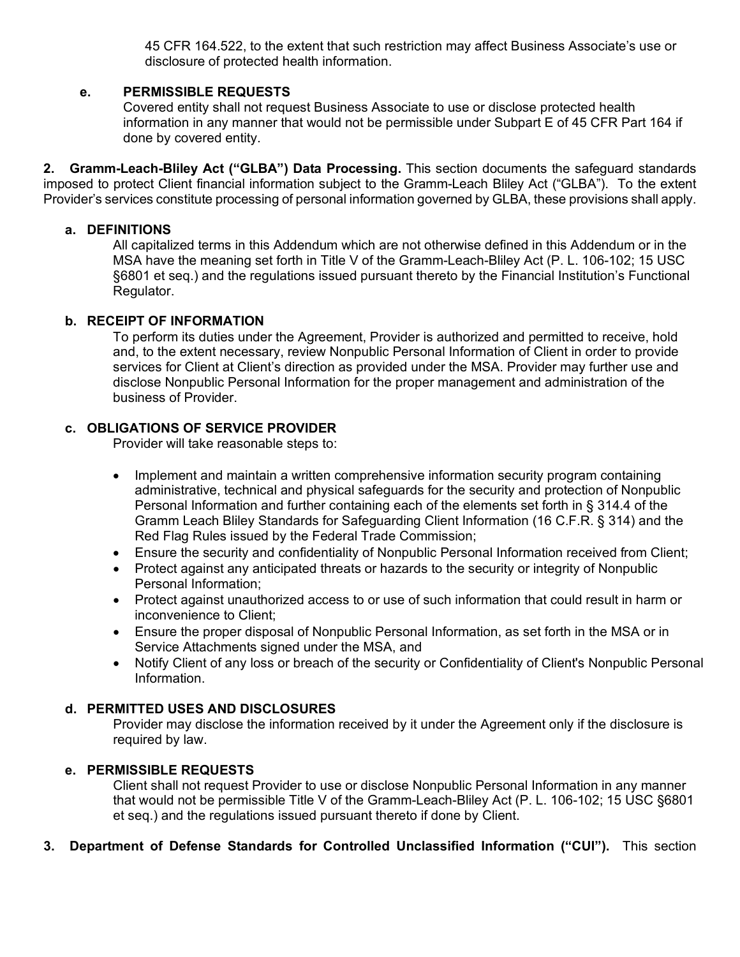45 CFR 164.522, to the extent that such restriction may affect Business Associate's use or disclosure of protected health information.

## **e. PERMISSIBLE REQUESTS**

Covered entity shall not request Business Associate to use or disclose protected health information in any manner that would not be permissible under Subpart E of 45 CFR Part 164 if done by covered entity.

**2. Gramm-Leach-Bliley Act ("GLBA") Data Processing.** This section documents the safeguard standards imposed to protect Client financial information subject to the Gramm-Leach Bliley Act ("GLBA"). To the extent Provider's services constitute processing of personal information governed by GLBA, these provisions shall apply.

### **a. DEFINITIONS**

All capitalized terms in this Addendum which are not otherwise defined in this Addendum or in the MSA have the meaning set forth in Title V of the Gramm-Leach-Bliley Act (P. L. 106-102; 15 USC §6801 et seq.) and the regulations issued pursuant thereto by the Financial Institution's Functional Regulator.

### **b. RECEIPT OF INFORMATION**

To perform its duties under the Agreement, Provider is authorized and permitted to receive, hold and, to the extent necessary, review Nonpublic Personal Information of Client in order to provide services for Client at Client's direction as provided under the MSA. Provider may further use and disclose Nonpublic Personal Information for the proper management and administration of the business of Provider.

# **c. OBLIGATIONS OF SERVICE PROVIDER**

Provider will take reasonable steps to:

- Implement and maintain a written comprehensive information security program containing administrative, technical and physical safeguards for the security and protection of Nonpublic Personal Information and further containing each of the elements set forth in § 314.4 of the Gramm Leach Bliley Standards for Safeguarding Client Information (16 C.F.R. § 314) and the Red Flag Rules issued by the Federal Trade Commission;
- Ensure the security and confidentiality of Nonpublic Personal Information received from Client;
- Protect against any anticipated threats or hazards to the security or integrity of Nonpublic Personal Information;
- Protect against unauthorized access to or use of such information that could result in harm or inconvenience to Client;
- Ensure the proper disposal of Nonpublic Personal Information, as set forth in the MSA or in Service Attachments signed under the MSA, and
- Notify Client of any loss or breach of the security or Confidentiality of Client's Nonpublic Personal Information.

## **d. PERMITTED USES AND DISCLOSURES**

Provider may disclose the information received by it under the Agreement only if the disclosure is required by law.

## **e. PERMISSIBLE REQUESTS**

Client shall not request Provider to use or disclose Nonpublic Personal Information in any manner that would not be permissible Title V of the Gramm-Leach-Bliley Act (P. L. 106-102; 15 USC §6801 et seq.) and the regulations issued pursuant thereto if done by Client.

## **3. Department of Defense Standards for Controlled Unclassified Information ("CUI").** This section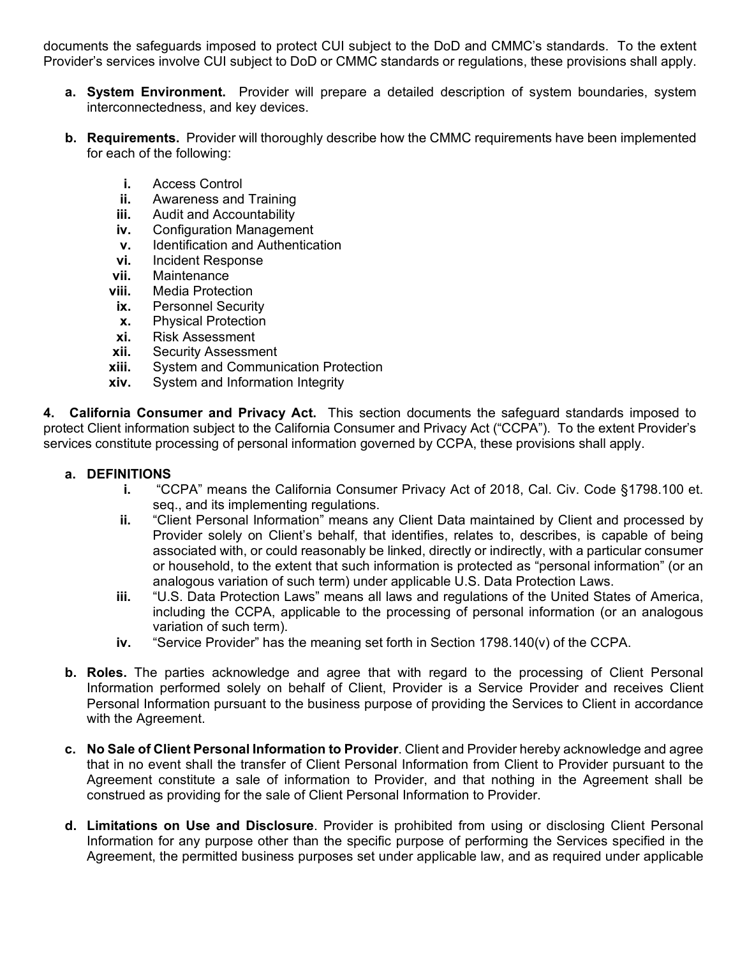documents the safeguards imposed to protect CUI subject to the DoD and CMMC's standards. To the extent Provider's services involve CUI subject to DoD or CMMC standards or regulations, these provisions shall apply.

- **a. System Environment.** Provider will prepare a detailed description of system boundaries, system interconnectedness, and key devices.
- **b. Requirements.** Provider will thoroughly describe how the CMMC requirements have been implemented for each of the following:
	- **i.** Access Control
	- **ii.** Awareness and Training
	- **iii.** Audit and Accountability
	- **iv.** Configuration Management
	- **v.** Identification and Authentication<br>**vi.** Incident Response
	- **vi.** Incident Response
	- **vii.** Maintenance
	- **viii.** Media Protection
	- **ix.** Personnel Security
	- **x.** Physical Protection
	- **xi.** Risk Assessment
	- **xii.** Security Assessment
	- **xiii.** System and Communication Protection
	- **xiv.** System and Information Integrity

**4. California Consumer and Privacy Act.** This section documents the safeguard standards imposed to protect Client information subject to the California Consumer and Privacy Act ("CCPA"). To the extent Provider's services constitute processing of personal information governed by CCPA, these provisions shall apply.

## **a. DEFINITIONS**

- **i.** "CCPA" means the California Consumer Privacy Act of 2018, Cal. Civ. Code §1798.100 et. seq., and its implementing regulations.
- **ii.** "Client Personal Information" means any Client Data maintained by Client and processed by Provider solely on Client's behalf, that identifies, relates to, describes, is capable of being associated with, or could reasonably be linked, directly or indirectly, with a particular consumer or household, to the extent that such information is protected as "personal information" (or an analogous variation of such term) under applicable U.S. Data Protection Laws.
- **iii.** "U.S. Data Protection Laws" means all laws and regulations of the United States of America, including the CCPA, applicable to the processing of personal information (or an analogous variation of such term).
- **iv.** "Service Provider" has the meaning set forth in Section 1798.140(v) of the CCPA.
- **b. Roles.** The parties acknowledge and agree that with regard to the processing of Client Personal Information performed solely on behalf of Client, Provider is a Service Provider and receives Client Personal Information pursuant to the business purpose of providing the Services to Client in accordance with the Agreement.
- **c. No Sale of Client Personal Information to Provider**. Client and Provider hereby acknowledge and agree that in no event shall the transfer of Client Personal Information from Client to Provider pursuant to the Agreement constitute a sale of information to Provider, and that nothing in the Agreement shall be construed as providing for the sale of Client Personal Information to Provider.
- **d. Limitations on Use and Disclosure**. Provider is prohibited from using or disclosing Client Personal Information for any purpose other than the specific purpose of performing the Services specified in the Agreement, the permitted business purposes set under applicable law, and as required under applicable